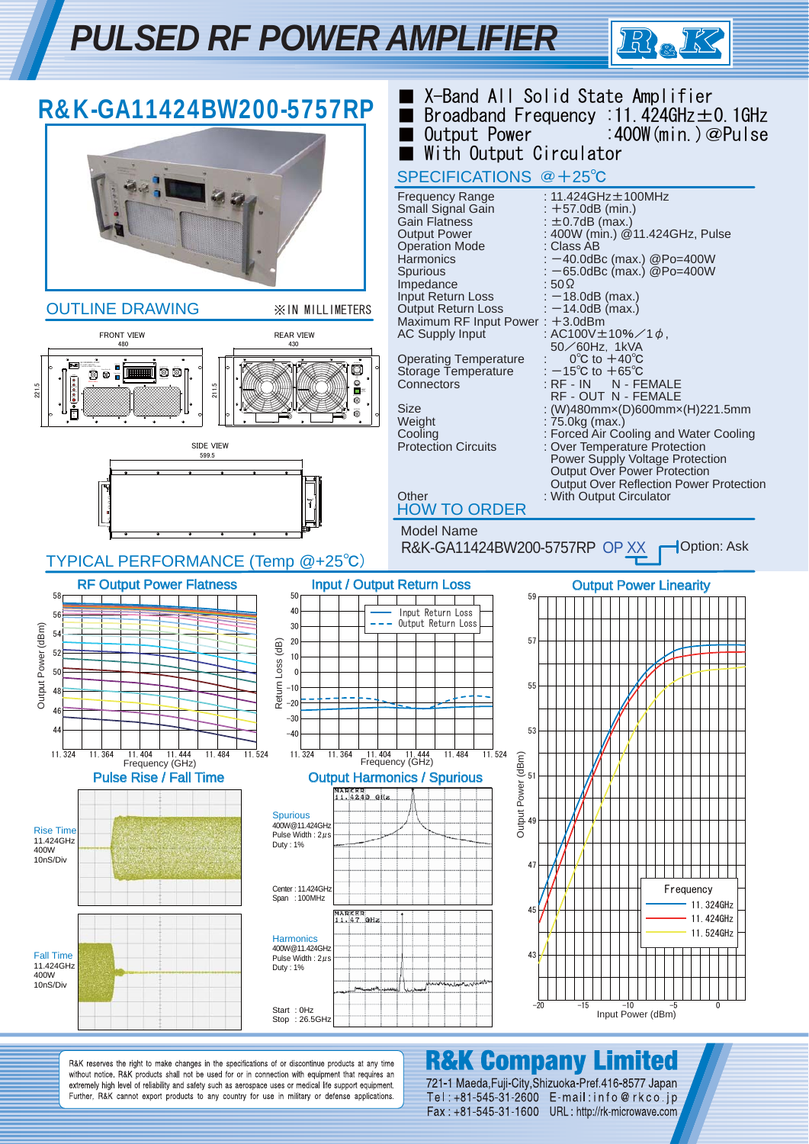# *PULSED RF POWER AMPLIFIER*





R&K reserves the right to make changes in the specifications of or discontinue products at any time without notice. R&K products shall not be used for or in connection with equipment that requires an extremely high level of reliability and safety such as aerospace uses or medical life support equipment. Further, R&K cannot export products to any country for use in military or defense applications.

### **R&K Company Limited**

721-1 Maeda, Fuji-City, Shizuoka-Pref. 416-8577 Japan Tel: +81-545-31-2600 E-mail: info@rkco.jp Fax: +81-545-31-1600 URL: http://rk-microwave.com